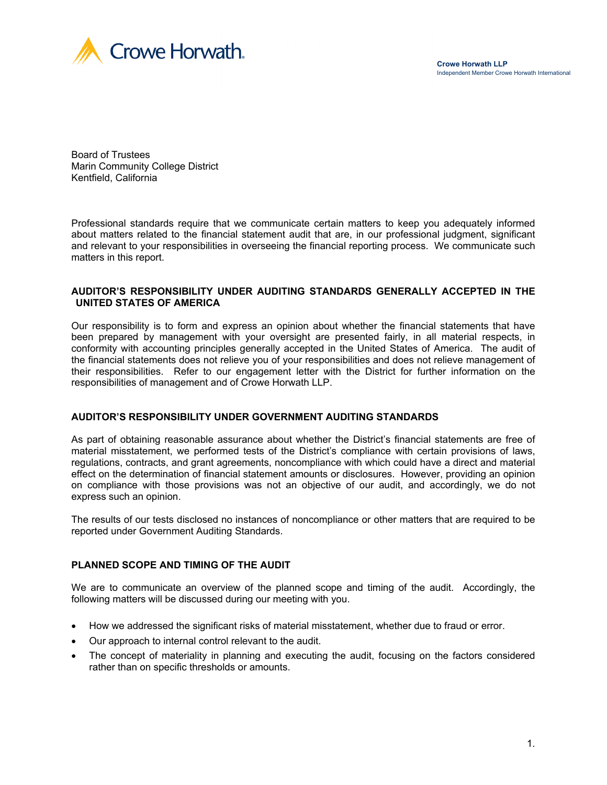



Board of Trustees Marin Community College District Kentfield, California

Professional standards require that we communicate certain matters to keep you adequately informed about matters related to the financial statement audit that are, in our professional judgment, significant and relevant to your responsibilities in overseeing the financial reporting process. We communicate such matters in this report.

### **AUDITOR'S RESPONSIBILITY UNDER AUDITING STANDARDS GENERALLY ACCEPTED IN THE UNITED STATES OF AMERICA**

Our responsibility is to form and express an opinion about whether the financial statements that have been prepared by management with your oversight are presented fairly, in all material respects, in conformity with accounting principles generally accepted in the United States of America. The audit of the financial statements does not relieve you of your responsibilities and does not relieve management of their responsibilities. Refer to our engagement letter with the District for further information on the responsibilities of management and of Crowe Horwath LLP.

### **AUDITOR'S RESPONSIBILITY UNDER GOVERNMENT AUDITING STANDARDS**

As part of obtaining reasonable assurance about whether the District's financial statements are free of material misstatement, we performed tests of the District's compliance with certain provisions of laws, regulations, contracts, and grant agreements, noncompliance with which could have a direct and material effect on the determination of financial statement amounts or disclosures. However, providing an opinion on compliance with those provisions was not an objective of our audit, and accordingly, we do not express such an opinion.

The results of our tests disclosed no instances of noncompliance or other matters that are required to be reported under Government Auditing Standards.

### **PLANNED SCOPE AND TIMING OF THE AUDIT**

We are to communicate an overview of the planned scope and timing of the audit. Accordingly, the following matters will be discussed during our meeting with you.

- How we addressed the significant risks of material misstatement, whether due to fraud or error.
- Our approach to internal control relevant to the audit.
- The concept of materiality in planning and executing the audit, focusing on the factors considered rather than on specific thresholds or amounts.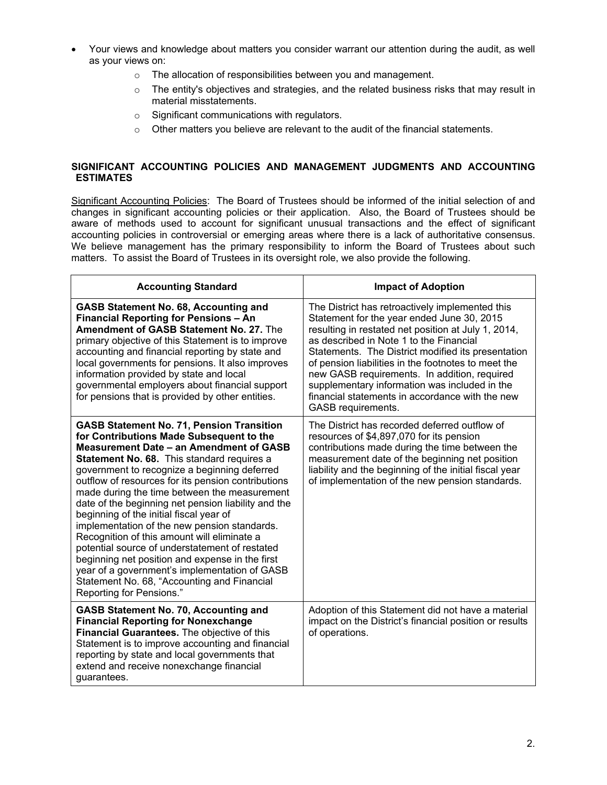- Your views and knowledge about matters you consider warrant our attention during the audit, as well as your views on:
	- o The allocation of responsibilities between you and management.
	- $\circ$  The entity's objectives and strategies, and the related business risks that may result in material misstatements.
	- o Significant communications with regulators.
	- o Other matters you believe are relevant to the audit of the financial statements.

## **SIGNIFICANT ACCOUNTING POLICIES AND MANAGEMENT JUDGMENTS AND ACCOUNTING ESTIMATES**

Significant Accounting Policies: The Board of Trustees should be informed of the initial selection of and changes in significant accounting policies or their application. Also, the Board of Trustees should be aware of methods used to account for significant unusual transactions and the effect of significant accounting policies in controversial or emerging areas where there is a lack of authoritative consensus. We believe management has the primary responsibility to inform the Board of Trustees about such matters. To assist the Board of Trustees in its oversight role, we also provide the following.

| <b>Accounting Standard</b>                                                                                                                                                                                                                                                                                                                                                                                                                                                                                                                                                                                                                                                                                                                                                    | <b>Impact of Adoption</b>                                                                                                                                                                                                                                                                                                                                                                                                                                                              |  |  |
|-------------------------------------------------------------------------------------------------------------------------------------------------------------------------------------------------------------------------------------------------------------------------------------------------------------------------------------------------------------------------------------------------------------------------------------------------------------------------------------------------------------------------------------------------------------------------------------------------------------------------------------------------------------------------------------------------------------------------------------------------------------------------------|----------------------------------------------------------------------------------------------------------------------------------------------------------------------------------------------------------------------------------------------------------------------------------------------------------------------------------------------------------------------------------------------------------------------------------------------------------------------------------------|--|--|
| <b>GASB Statement No. 68, Accounting and</b><br><b>Financial Reporting for Pensions - An</b><br>Amendment of GASB Statement No. 27. The<br>primary objective of this Statement is to improve<br>accounting and financial reporting by state and<br>local governments for pensions. It also improves<br>information provided by state and local<br>governmental employers about financial support<br>for pensions that is provided by other entities.                                                                                                                                                                                                                                                                                                                          | The District has retroactively implemented this<br>Statement for the year ended June 30, 2015<br>resulting in restated net position at July 1, 2014,<br>as described in Note 1 to the Financial<br>Statements. The District modified its presentation<br>of pension liabilities in the footnotes to meet the<br>new GASB requirements. In addition, required<br>supplementary information was included in the<br>financial statements in accordance with the new<br>GASB requirements. |  |  |
| <b>GASB Statement No. 71, Pension Transition</b><br>for Contributions Made Subsequent to the<br>Measurement Date - an Amendment of GASB<br>Statement No. 68. This standard requires a<br>government to recognize a beginning deferred<br>outflow of resources for its pension contributions<br>made during the time between the measurement<br>date of the beginning net pension liability and the<br>beginning of the initial fiscal year of<br>implementation of the new pension standards.<br>Recognition of this amount will eliminate a<br>potential source of understatement of restated<br>beginning net position and expense in the first<br>year of a government's implementation of GASB<br>Statement No. 68, "Accounting and Financial<br>Reporting for Pensions." | The District has recorded deferred outflow of<br>resources of \$4,897,070 for its pension<br>contributions made during the time between the<br>measurement date of the beginning net position<br>liability and the beginning of the initial fiscal year<br>of implementation of the new pension standards.                                                                                                                                                                             |  |  |
| <b>GASB Statement No. 70, Accounting and</b><br><b>Financial Reporting for Nonexchange</b><br>Financial Guarantees. The objective of this<br>Statement is to improve accounting and financial<br>reporting by state and local governments that<br>extend and receive nonexchange financial<br>guarantees.                                                                                                                                                                                                                                                                                                                                                                                                                                                                     | Adoption of this Statement did not have a material<br>impact on the District's financial position or results<br>of operations.                                                                                                                                                                                                                                                                                                                                                         |  |  |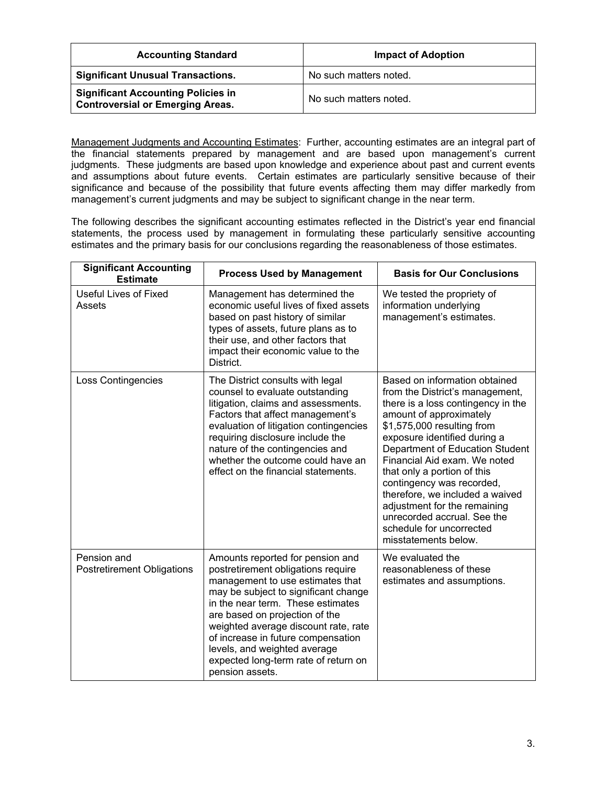| <b>Accounting Standard</b>                                                           | <b>Impact of Adoption</b> |  |  |
|--------------------------------------------------------------------------------------|---------------------------|--|--|
| <b>Significant Unusual Transactions.</b>                                             | No such matters noted.    |  |  |
| <b>Significant Accounting Policies in</b><br><b>Controversial or Emerging Areas.</b> | No such matters noted.    |  |  |

Management Judgments and Accounting Estimates: Further, accounting estimates are an integral part of the financial statements prepared by management and are based upon management's current judgments. These judgments are based upon knowledge and experience about past and current events and assumptions about future events. Certain estimates are particularly sensitive because of their significance and because of the possibility that future events affecting them may differ markedly from management's current judgments and may be subject to significant change in the near term.

The following describes the significant accounting estimates reflected in the District's year end financial statements, the process used by management in formulating these particularly sensitive accounting estimates and the primary basis for our conclusions regarding the reasonableness of those estimates.

| <b>Significant Accounting</b><br><b>Estimate</b> | <b>Process Used by Management</b>                                                                                                                                                                                                                                                                                                                                                                  | <b>Basis for Our Conclusions</b>                                                                                                                                                                                                                                                                                                                                                                                                                                                     |  |  |
|--------------------------------------------------|----------------------------------------------------------------------------------------------------------------------------------------------------------------------------------------------------------------------------------------------------------------------------------------------------------------------------------------------------------------------------------------------------|--------------------------------------------------------------------------------------------------------------------------------------------------------------------------------------------------------------------------------------------------------------------------------------------------------------------------------------------------------------------------------------------------------------------------------------------------------------------------------------|--|--|
| Useful Lives of Fixed<br>Assets                  | Management has determined the<br>economic useful lives of fixed assets<br>based on past history of similar<br>types of assets, future plans as to<br>their use, and other factors that<br>impact their economic value to the<br>District.                                                                                                                                                          | We tested the propriety of<br>information underlying<br>management's estimates.                                                                                                                                                                                                                                                                                                                                                                                                      |  |  |
| <b>Loss Contingencies</b>                        | The District consults with legal<br>counsel to evaluate outstanding<br>litigation, claims and assessments.<br>Factors that affect management's<br>evaluation of litigation contingencies<br>requiring disclosure include the<br>nature of the contingencies and<br>whether the outcome could have an<br>effect on the financial statements.                                                        | Based on information obtained<br>from the District's management,<br>there is a loss contingency in the<br>amount of approximately<br>\$1,575,000 resulting from<br>exposure identified during a<br>Department of Education Student<br>Financial Aid exam. We noted<br>that only a portion of this<br>contingency was recorded,<br>therefore, we included a waived<br>adjustment for the remaining<br>unrecorded accrual. See the<br>schedule for uncorrected<br>misstatements below. |  |  |
| Pension and<br><b>Postretirement Obligations</b> | Amounts reported for pension and<br>postretirement obligations require<br>management to use estimates that<br>may be subject to significant change<br>in the near term. These estimates<br>are based on projection of the<br>weighted average discount rate, rate<br>of increase in future compensation<br>levels, and weighted average<br>expected long-term rate of return on<br>pension assets. | We evaluated the<br>reasonableness of these<br>estimates and assumptions.                                                                                                                                                                                                                                                                                                                                                                                                            |  |  |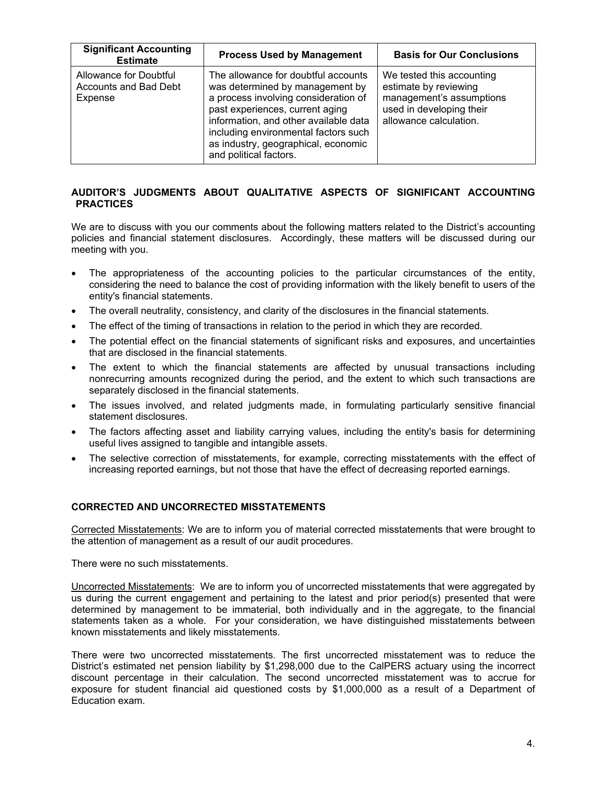| <b>Significant Accounting</b><br><b>Estimate</b>           | <b>Process Used by Management</b>                                                                                                                                                                                                                                                                   | <b>Basis for Our Conclusions</b>                                                                                                     |
|------------------------------------------------------------|-----------------------------------------------------------------------------------------------------------------------------------------------------------------------------------------------------------------------------------------------------------------------------------------------------|--------------------------------------------------------------------------------------------------------------------------------------|
| Allowance for Doubtful<br>Accounts and Bad Debt<br>Expense | The allowance for doubtful accounts<br>was determined by management by<br>a process involving consideration of<br>past experiences, current aging<br>information, and other available data<br>including environmental factors such<br>as industry, geographical, economic<br>and political factors. | We tested this accounting<br>estimate by reviewing<br>management's assumptions<br>used in developing their<br>allowance calculation. |

## **AUDITOR'S JUDGMENTS ABOUT QUALITATIVE ASPECTS OF SIGNIFICANT ACCOUNTING PRACTICES**

We are to discuss with you our comments about the following matters related to the District's accounting policies and financial statement disclosures. Accordingly, these matters will be discussed during our meeting with you.

- The appropriateness of the accounting policies to the particular circumstances of the entity, considering the need to balance the cost of providing information with the likely benefit to users of the entity's financial statements.
- The overall neutrality, consistency, and clarity of the disclosures in the financial statements.
- The effect of the timing of transactions in relation to the period in which they are recorded.
- The potential effect on the financial statements of significant risks and exposures, and uncertainties that are disclosed in the financial statements.
- The extent to which the financial statements are affected by unusual transactions including nonrecurring amounts recognized during the period, and the extent to which such transactions are separately disclosed in the financial statements.
- The issues involved, and related judgments made, in formulating particularly sensitive financial statement disclosures.
- The factors affecting asset and liability carrying values, including the entity's basis for determining useful lives assigned to tangible and intangible assets.
- The selective correction of misstatements, for example, correcting misstatements with the effect of increasing reported earnings, but not those that have the effect of decreasing reported earnings.

## **CORRECTED AND UNCORRECTED MISSTATEMENTS**

Corrected Misstatements: We are to inform you of material corrected misstatements that were brought to the attention of management as a result of our audit procedures.

There were no such misstatements.

Uncorrected Misstatements: We are to inform you of uncorrected misstatements that were aggregated by us during the current engagement and pertaining to the latest and prior period(s) presented that were determined by management to be immaterial, both individually and in the aggregate, to the financial statements taken as a whole. For your consideration, we have distinguished misstatements between known misstatements and likely misstatements.

There were two uncorrected misstatements. The first uncorrected misstatement was to reduce the District's estimated net pension liability by \$1,298,000 due to the CalPERS actuary using the incorrect discount percentage in their calculation. The second uncorrected misstatement was to accrue for exposure for student financial aid questioned costs by \$1,000,000 as a result of a Department of Education exam.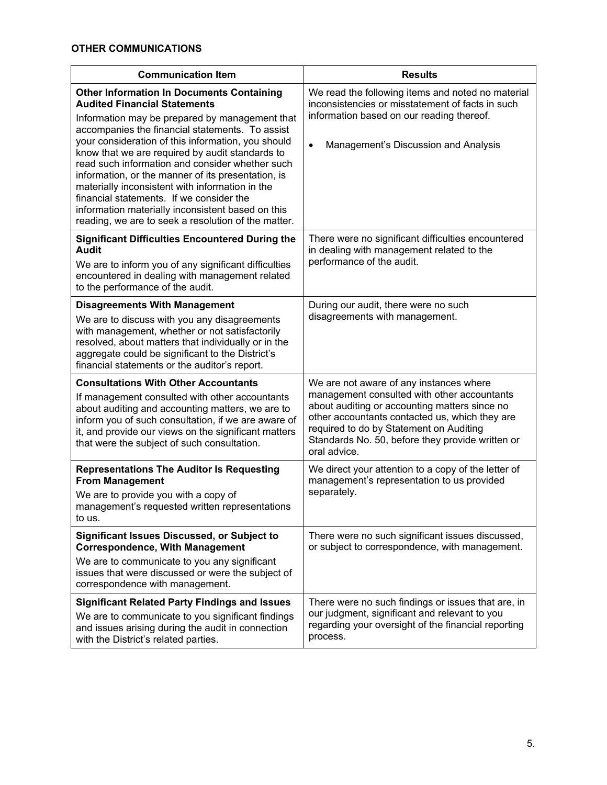| <b>Communication Item</b>                                                                                                                                                                                                                                                                                                                                                                                                                                                                                                                                                                                                 | <b>Results</b>                                                                                                                                                                                                                                                                                           |  |  |
|---------------------------------------------------------------------------------------------------------------------------------------------------------------------------------------------------------------------------------------------------------------------------------------------------------------------------------------------------------------------------------------------------------------------------------------------------------------------------------------------------------------------------------------------------------------------------------------------------------------------------|----------------------------------------------------------------------------------------------------------------------------------------------------------------------------------------------------------------------------------------------------------------------------------------------------------|--|--|
| <b>Other Information In Documents Containing</b><br><b>Audited Financial Statements</b><br>Information may be prepared by management that<br>accompanies the financial statements. To assist<br>your consideration of this information, you should<br>know that we are required by audit standards to<br>read such information and consider whether such<br>information, or the manner of its presentation, is<br>materially inconsistent with information in the<br>financial statements. If we consider the<br>information materially inconsistent based on this<br>reading, we are to seek a resolution of the matter. | We read the following items and noted no material<br>inconsistencies or misstatement of facts in such<br>information based on our reading thereof.<br>Management's Discussion and Analysis<br>$\bullet$                                                                                                  |  |  |
| <b>Significant Difficulties Encountered During the</b><br><b>Audit</b><br>We are to inform you of any significant difficulties<br>encountered in dealing with management related<br>to the performance of the audit.                                                                                                                                                                                                                                                                                                                                                                                                      | There were no significant difficulties encountered<br>in dealing with management related to the<br>performance of the audit.                                                                                                                                                                             |  |  |
| <b>Disagreements With Management</b><br>We are to discuss with you any disagreements<br>with management, whether or not satisfactorily<br>resolved, about matters that individually or in the<br>aggregate could be significant to the District's<br>financial statements or the auditor's report.                                                                                                                                                                                                                                                                                                                        | During our audit, there were no such<br>disagreements with management.                                                                                                                                                                                                                                   |  |  |
| <b>Consultations With Other Accountants</b><br>If management consulted with other accountants<br>about auditing and accounting matters, we are to<br>inform you of such consultation, if we are aware of<br>it, and provide our views on the significant matters<br>that were the subject of such consultation.                                                                                                                                                                                                                                                                                                           | We are not aware of any instances where<br>management consulted with other accountants<br>about auditing or accounting matters since no<br>other accountants contacted us, which they are<br>required to do by Statement on Auditing<br>Standards No. 50, before they provide written or<br>oral advice. |  |  |
| <b>Representations The Auditor Is Requesting</b><br><b>From Management</b><br>We are to provide you with a copy of<br>management's requested written representations<br>to us.                                                                                                                                                                                                                                                                                                                                                                                                                                            | We direct your attention to a copy of the letter of<br>management's representation to us provided<br>separately.                                                                                                                                                                                         |  |  |
| Significant Issues Discussed, or Subject to<br><b>Correspondence, With Management</b><br>We are to communicate to you any significant<br>issues that were discussed or were the subject of<br>correspondence with management.                                                                                                                                                                                                                                                                                                                                                                                             | There were no such significant issues discussed,<br>or subject to correspondence, with management.                                                                                                                                                                                                       |  |  |
| <b>Significant Related Party Findings and Issues</b><br>We are to communicate to you significant findings<br>and issues arising during the audit in connection<br>with the District's related parties.                                                                                                                                                                                                                                                                                                                                                                                                                    | There were no such findings or issues that are, in<br>our judgment, significant and relevant to you<br>regarding your oversight of the financial reporting<br>process.                                                                                                                                   |  |  |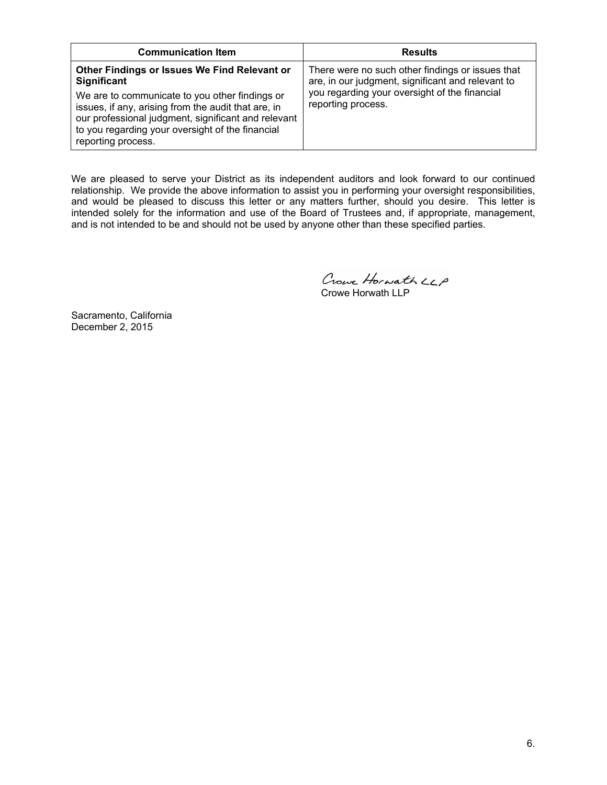| <b>Communication Item</b>                                                                                                                                                                                                                                                                             | <b>Results</b>                                                                                                                                                               |
|-------------------------------------------------------------------------------------------------------------------------------------------------------------------------------------------------------------------------------------------------------------------------------------------------------|------------------------------------------------------------------------------------------------------------------------------------------------------------------------------|
| Other Findings or Issues We Find Relevant or<br>Significant<br>We are to communicate to you other findings or<br>issues, if any, arising from the audit that are, in<br>our professional judgment, significant and relevant<br>to you regarding your oversight of the financial<br>reporting process. | There were no such other findings or issues that<br>are, in our judgment, significant and relevant to<br>you regarding your oversight of the financial<br>reporting process. |

We are pleased to serve your District as its independent auditors and look forward to our continued relationship. We provide the above information to assist you in performing your oversight responsibilities, and would be pleased to discuss this letter or any matters further, should you desire. This letter is intended solely for the information and use of the Board of Trustees and, if appropriate, management, and is not intended to be and should not be used by anyone other than these specified parties.

Crowe Horwath LCP Crowe Horwath LLP

Sacramento, California December 2, 2015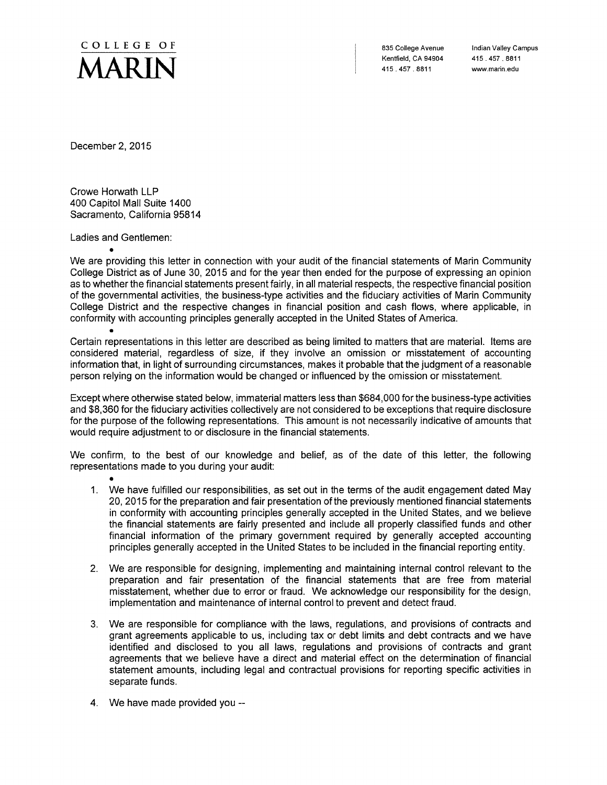

835 College Avenue Kentfield, CA 94904 415, 457, 8811

Indian Valley Campus 415.457.8811 www.marin.edu

December 2, 2015

Crowe Horwath LLP 400 Capitol Mall Suite 1400 Sacramento. California 95814

Ladies and Gentlemen:

We are providing this letter in connection with your audit of the financial statements of Marin Community College District as of June 30, 2015 and for the year then ended for the purpose of expressing an opinion as to whether the financial statements present fairly, in all material respects, the respective financial position of the governmental activities, the business-type activities and the fiduciary activities of Marin Community College District and the respective changes in financial position and cash flows, where applicable, in conformity with accounting principles generally accepted in the United States of America.

Certain representations in this letter are described as being limited to matters that are material. Items are considered material, regardless of size, if they involve an omission or misstatement of accounting information that, in light of surrounding circumstances, makes it probable that the judgment of a reasonable person relying on the information would be changed or influenced by the omission or misstatement.

Except where otherwise stated below, immaterial matters less than \$684,000 for the business-type activities and \$8,360 for the fiduciary activities collectively are not considered to be exceptions that require disclosure for the purpose of the following representations. This amount is not necessarily indicative of amounts that would require adjustment to or disclosure in the financial statements.

We confirm, to the best of our knowledge and belief, as of the date of this letter, the following representations made to you during your audit:

- 1. We have fulfilled our responsibilities, as set out in the terms of the audit engagement dated May 20, 2015 for the preparation and fair presentation of the previously mentioned financial statements in conformity with accounting principles generally accepted in the United States, and we believe the financial statements are fairly presented and include all properly classified funds and other financial information of the primary government required by generally accepted accounting principles generally accepted in the United States to be included in the financial reporting entity.
- 2. We are responsible for designing, implementing and maintaining internal control relevant to the preparation and fair presentation of the financial statements that are free from material misstatement, whether due to error or fraud. We acknowledge our responsibility for the design, implementation and maintenance of internal control to prevent and detect fraud.
- 3. We are responsible for compliance with the laws, regulations, and provisions of contracts and grant agreements applicable to us, including tax or debt limits and debt contracts and we have identified and disclosed to you all laws, regulations and provisions of contracts and grant agreements that we believe have a direct and material effect on the determination of financial statement amounts, including legal and contractual provisions for reporting specific activities in separate funds.
- 4. We have made provided you --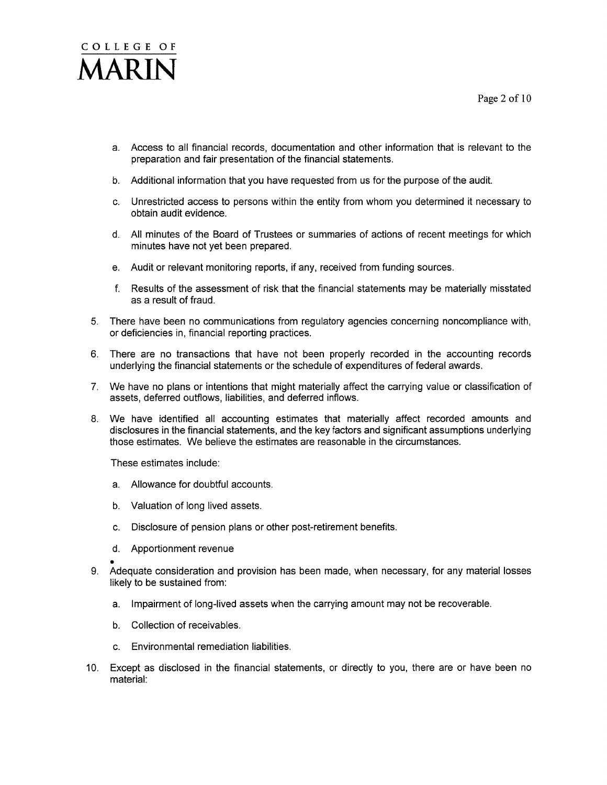# COLLEGE OF

- a. Access to all financial records, documentation and other information that is relevant to the preparation and fair presentation of the financial statements.
- b. Additional information that you have requested from us for the purpose of the audit.
- c. Unrestricted access to persons within the entity from whom you determined it necessary to obtain audit evidence.
- d. All minutes of the Board of Trustees or summaries of actions of recent meetings for which minutes have not yet been prepared.
- e. Audit or relevant monitoring reports, if any, received from funding sources.
- f. Results of the assessment of risk that the financial statements may be materially misstated as a result of fraud.
- 5. There have been no communications from regulatory agencies concerning noncompliance with, or deficiencies in, financial reporting practices.
- 6. There are no transactions that have not been properly recorded in the accounting records underlying the financial statements or the schedule of expenditures of federal awards.
- 7. We have no plans or intentions that might materially affect the carrying value or classification of assets, deferred outflows, liabilities, and deferred inflows.
- 8. We have identified all accounting estimates that materially affect recorded amounts and disclosures in the financial statements, and the key factors and significant assumptions underlying those estimates. We believe the estimates are reasonable in the circumstances.

These estimates include:

- a. Allowance for doubtful accounts.
- b. Valuation of long lived assets.
- c. Disclosure of pension plans or other post-retirement benefits.
- d. Apportionment revenue
- 9. Adequate consideration and provision has been made, when necessary, for any material losses likely to be sustained from:
	- a. Impairment of long-lived assets when the carrying amount may not be recoverable.
	- b. Collection of receivables.
	- c. Environmental remediation liabilities.
- 10. Except as disclosed in the financial statements, or directly to you, there are or have been no material: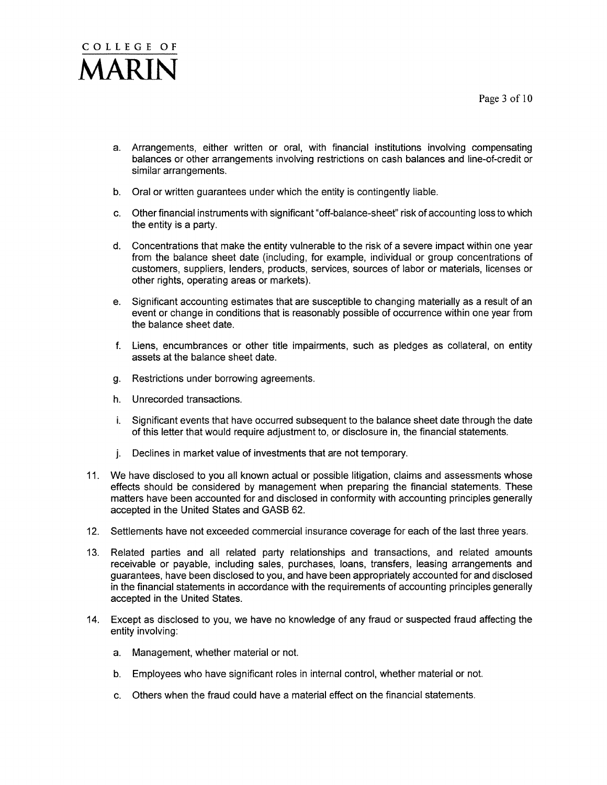- a. Arrangements, either written or oral, with financial institutions involving compensating balances or other arrangements involving restrictions on cash balances and line-of-credit or similar arrangements.
- b. Oral or written guarantees under which the entity is contingently liable.
- c. Other financial instruments with significant "off-balance-sheet" risk of accounting loss to which the entity is a party.
- d. Concentrations that make the entity vulnerable to the risk of a severe impact within one year from the balance sheet date (including, for example, individual or group concentrations of customers, suppliers, lenders, products, services, sources of labor or materials, licenses or other rights, operating areas or markets).
- e. Significant accounting estimates that are susceptible to changing materially as a result of an event or change in conditions that is reasonably possible of occurrence within one year from the balance sheet date.
- f. Liens, encumbrances or other title impairments, such as pledges as collateral, on entity assets at the balance sheet date.
- g. Restrictions under borrowing agreements.
- h. Unrecorded transactions.
- i. Significant events that have occurred subsequent to the balance sheet date through the date of this letter that would require adjustment to, or disclosure in, the financial statements.
- j. Declines in market value of investments that are not temporary.
- 11. We have disclosed to you all known actual or possible litigation, claims and assessments whose effects should be considered by management when preparing the financial statements. These matters have been accounted for and disclosed in conformity with accounting principles generally accepted in the United States and GASB 62.
- 12. Settlements have not exceeded commercial insurance coverage for each of the last three years.
- Related parties and all related party relationships and transactions, and related amounts  $13.$ receivable or payable, including sales, purchases, loans, transfers, leasing arrangements and guarantees, have been disclosed to you, and have been appropriately accounted for and disclosed in the financial statements in accordance with the requirements of accounting principles generally accepted in the United States.
- 14. Except as disclosed to you, we have no knowledge of any fraud or suspected fraud affecting the entity involving:
	- a. Management, whether material or not.
	- b. Employees who have significant roles in internal control, whether material or not.
	- c. Others when the fraud could have a material effect on the financial statements.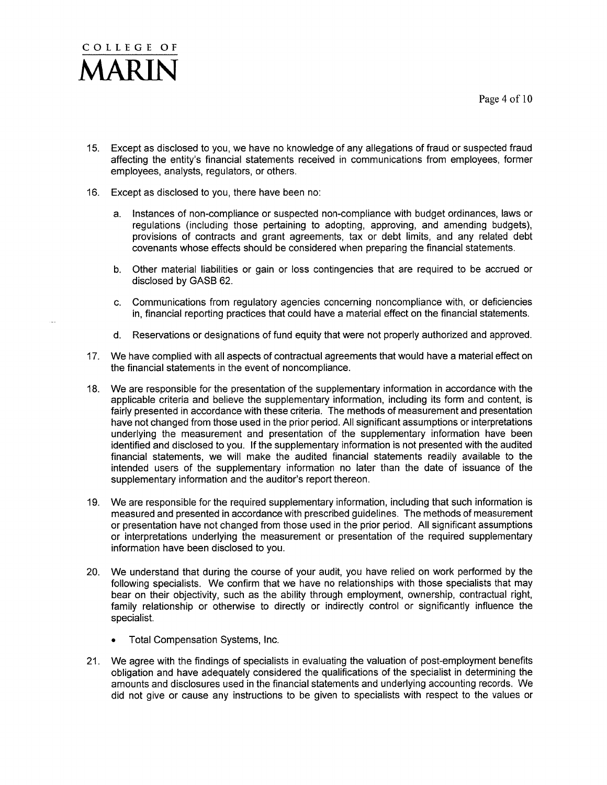

- 15. Except as disclosed to you, we have no knowledge of any allegations of fraud or suspected fraud affecting the entity's financial statements received in communications from employees, former employees, analysts, regulators, or others.
- 16. Except as disclosed to you, there have been no:
	- a. Instances of non-compliance or suspected non-compliance with budget ordinances, laws or regulations (including those pertaining to adopting, approving, and amending budgets), provisions of contracts and grant agreements, tax or debt limits, and any related debt covenants whose effects should be considered when preparing the financial statements.
	- b. Other material liabilities or gain or loss contingencies that are required to be accrued or disclosed by GASB 62.
	- c. Communications from regulatory agencies concerning noncompliance with, or deficiencies in, financial reporting practices that could have a material effect on the financial statements.
	- d. Reservations or designations of fund equity that were not properly authorized and approved.
- 17. We have complied with all aspects of contractual agreements that would have a material effect on the financial statements in the event of noncompliance.
- We are responsible for the presentation of the supplementary information in accordance with the  $18.$ applicable criteria and believe the supplementary information, including its form and content, is fairly presented in accordance with these criteria. The methods of measurement and presentation have not changed from those used in the prior period. All significant assumptions or interpretations underlying the measurement and presentation of the supplementary information have been identified and disclosed to you. If the supplementary information is not presented with the audited financial statements, we will make the audited financial statements readily available to the intended users of the supplementary information no later than the date of issuance of the supplementary information and the auditor's report thereon.
- 19. We are responsible for the required supplementary information, including that such information is measured and presented in accordance with prescribed guidelines. The methods of measurement or presentation have not changed from those used in the prior period. All significant assumptions or interpretations underlying the measurement or presentation of the required supplementary information have been disclosed to you.
- 20. We understand that during the course of your audit, you have relied on work performed by the following specialists. We confirm that we have no relationships with those specialists that may bear on their objectivity, such as the ability through employment, ownership, contractual right, family relationship or otherwise to directly or indirectly control or significantly influence the specialist.
	- Total Compensation Systems, Inc.
- 21. We agree with the findings of specialists in evaluating the valuation of post-employment benefits obligation and have adequately considered the qualifications of the specialist in determining the amounts and disclosures used in the financial statements and underlying accounting records. We did not give or cause any instructions to be given to specialists with respect to the values or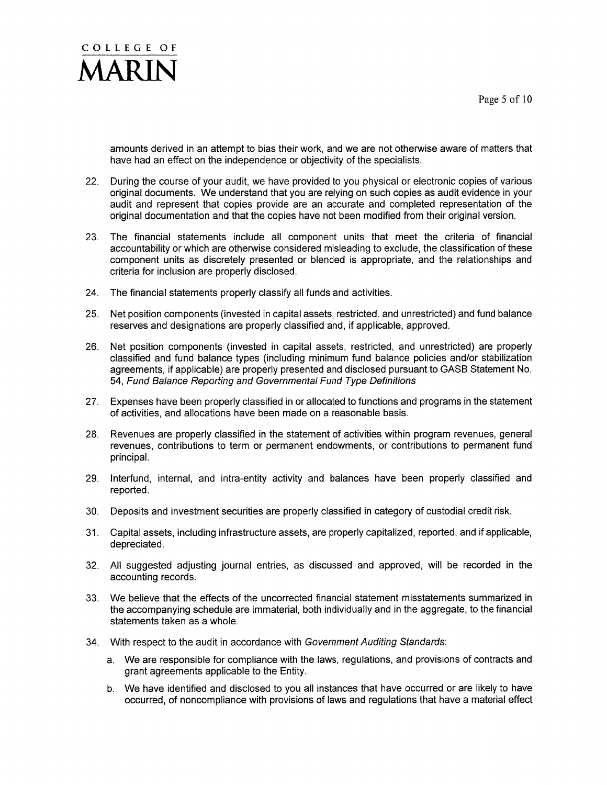

amounts derived in an attempt to bias their work, and we are not otherwise aware of matters that have had an effect on the independence or objectivity of the specialists.

- During the course of your audit, we have provided to you physical or electronic copies of various  $22.$ original documents. We understand that you are relying on such copies as audit evidence in your audit and represent that copies provide are an accurate and completed representation of the original documentation and that the copies have not been modified from their original version.
- 23. The financial statements include all component units that meet the criteria of financial accountability or which are otherwise considered misleading to exclude, the classification of these component units as discretely presented or blended is appropriate, and the relationships and criteria for inclusion are properly disclosed.
- 24. The financial statements properly classify all funds and activities.
- Net position components (invested in capital assets, restricted, and unrestricted) and fund balance  $25.$ reserves and designations are properly classified and, if applicable, approved.
- $26.$ Net position components (invested in capital assets, restricted, and unrestricted) are properly classified and fund balance types (including minimum fund balance policies and/or stabilization agreements, if applicable) are properly presented and disclosed pursuant to GASB Statement No. 54, Fund Balance Reporting and Governmental Fund Type Definitions
- 27. Expenses have been properly classified in or allocated to functions and programs in the statement of activities, and allocations have been made on a reasonable basis.
- $28.$ Revenues are properly classified in the statement of activities within program revenues, general revenues, contributions to term or permanent endowments, or contributions to permanent fund principal.
- 29. Interfund, internal, and intra-entity activity and balances have been properly classified and reported.
- 30. Deposits and investment securities are properly classified in category of custodial credit risk.
- 31. Capital assets, including infrastructure assets, are properly capitalized, reported, and if applicable, depreciated.
- 32. All suggested adjusting journal entries, as discussed and approved, will be recorded in the accounting records.
- 33. We believe that the effects of the uncorrected financial statement misstatements summarized in the accompanying schedule are immaterial, both individually and in the aggregate, to the financial statements taken as a whole.
- 34. With respect to the audit in accordance with Government Auditing Standards:
	- a. We are responsible for compliance with the laws, regulations, and provisions of contracts and grant agreements applicable to the Entity.
	- b. We have identified and disclosed to you all instances that have occurred or are likely to have occurred, of noncompliance with provisions of laws and regulations that have a material effect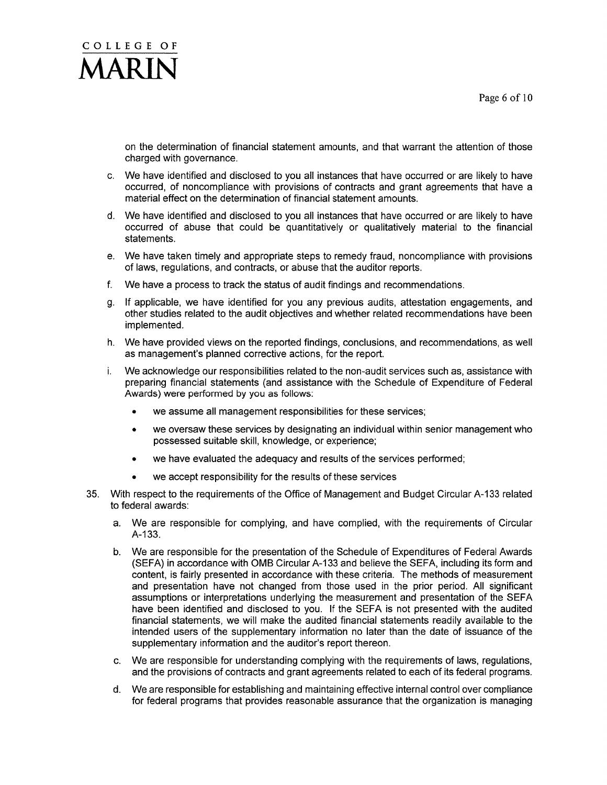

on the determination of financial statement amounts, and that warrant the attention of those charged with governance.

- c. We have identified and disclosed to you all instances that have occurred or are likely to have occurred, of noncompliance with provisions of contracts and grant agreements that have a material effect on the determination of financial statement amounts.
- d. We have identified and disclosed to you all instances that have occurred or are likely to have occurred of abuse that could be quantitatively or qualitatively material to the financial statements.
- e. We have taken timely and appropriate steps to remedy fraud, noncompliance with provisions of laws, regulations, and contracts, or abuse that the auditor reports.
- We have a process to track the status of audit findings and recommendations. f.
- g. If applicable, we have identified for you any previous audits, attestation engagements, and other studies related to the audit objectives and whether related recommendations have been implemented.
- h. We have provided views on the reported findings, conclusions, and recommendations, as well as management's planned corrective actions, for the report.
- We acknowledge our responsibilities related to the non-audit services such as, assistance with i. preparing financial statements (and assistance with the Schedule of Expenditure of Federal Awards) were performed by you as follows:
	- we assume all management responsibilities for these services;
	- we oversaw these services by designating an individual within senior management who  $\bullet$ possessed suitable skill, knowledge, or experience;
	- we have evaluated the adequacy and results of the services performed;  $\bullet$
	- we accept responsibility for the results of these services  $\bullet$
- With respect to the requirements of the Office of Management and Budget Circular A-133 related  $35.$ to federal awards:
	- a. We are responsible for complying, and have complied, with the requirements of Circular A-133.
	- b. We are responsible for the presentation of the Schedule of Expenditures of Federal Awards (SEFA) in accordance with OMB Circular A-133 and believe the SEFA, including its form and content, is fairly presented in accordance with these criteria. The methods of measurement and presentation have not changed from those used in the prior period. All significant assumptions or interpretations underlying the measurement and presentation of the SEFA have been identified and disclosed to you. If the SEFA is not presented with the audited financial statements, we will make the audited financial statements readily available to the intended users of the supplementary information no later than the date of issuance of the supplementary information and the auditor's report thereon.
	- c. We are responsible for understanding complying with the requirements of laws, regulations, and the provisions of contracts and grant agreements related to each of its federal programs.
	- d. We are responsible for establishing and maintaining effective internal control over compliance for federal programs that provides reasonable assurance that the organization is managing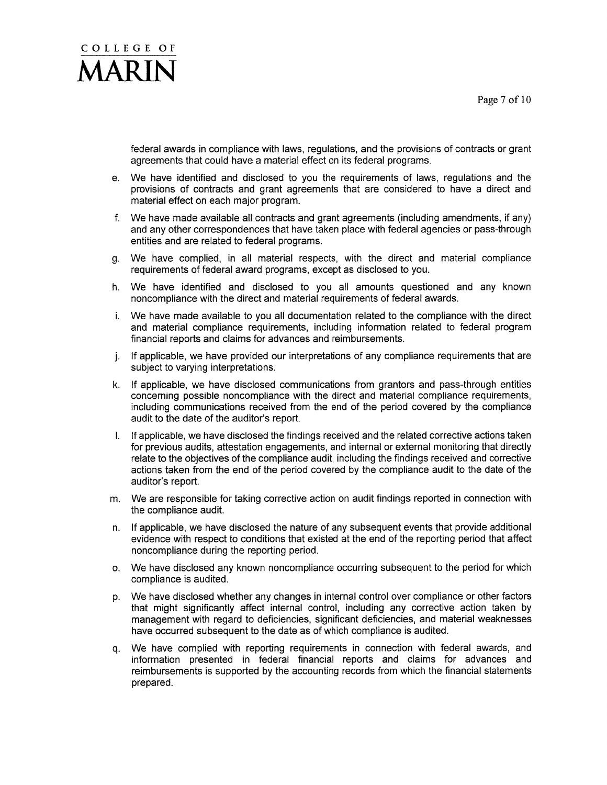

federal awards in compliance with laws, regulations, and the provisions of contracts or grant agreements that could have a material effect on its federal programs.

- e. We have identified and disclosed to you the requirements of laws, regulations and the provisions of contracts and grant agreements that are considered to have a direct and material effect on each major program.
- f. We have made available all contracts and grant agreements (including amendments, if any) and any other correspondences that have taken place with federal agencies or pass-through entities and are related to federal programs.
- We have complied, in all material respects, with the direct and material compliance g. requirements of federal award programs, except as disclosed to you.
- h. We have identified and disclosed to you all amounts questioned and any known noncompliance with the direct and material requirements of federal awards.
- i. We have made available to you all documentation related to the compliance with the direct and material compliance requirements, including information related to federal program financial reports and claims for advances and reimbursements.
- j. If applicable, we have provided our interpretations of any compliance requirements that are subject to varying interpretations.
- k. If applicable, we have disclosed communications from grantors and pass-through entities concerning possible noncompliance with the direct and material compliance requirements, including communications received from the end of the period covered by the compliance audit to the date of the auditor's report.
- If applicable, we have disclosed the findings received and the related corrective actions taken  $\mathsf{L}$ for previous audits, attestation engagements, and internal or external monitoring that directly relate to the objectives of the compliance audit, including the findings received and corrective actions taken from the end of the period covered by the compliance audit to the date of the auditor's report.
- m. We are responsible for taking corrective action on audit findings reported in connection with the compliance audit.
- If applicable, we have disclosed the nature of any subsequent events that provide additional  $n_{\cdot}$ evidence with respect to conditions that existed at the end of the reporting period that affect noncompliance during the reporting period.
- o. We have disclosed any known noncompliance occurring subsequent to the period for which compliance is audited.
- p. We have disclosed whether any changes in internal control over compliance or other factors that might significantly affect internal control, including any corrective action taken by management with regard to deficiencies, significant deficiencies, and material weaknesses have occurred subsequent to the date as of which compliance is audited.
- We have complied with reporting requirements in connection with federal awards, and q. information presented in federal financial reports and claims for advances and reimbursements is supported by the accounting records from which the financial statements prepared.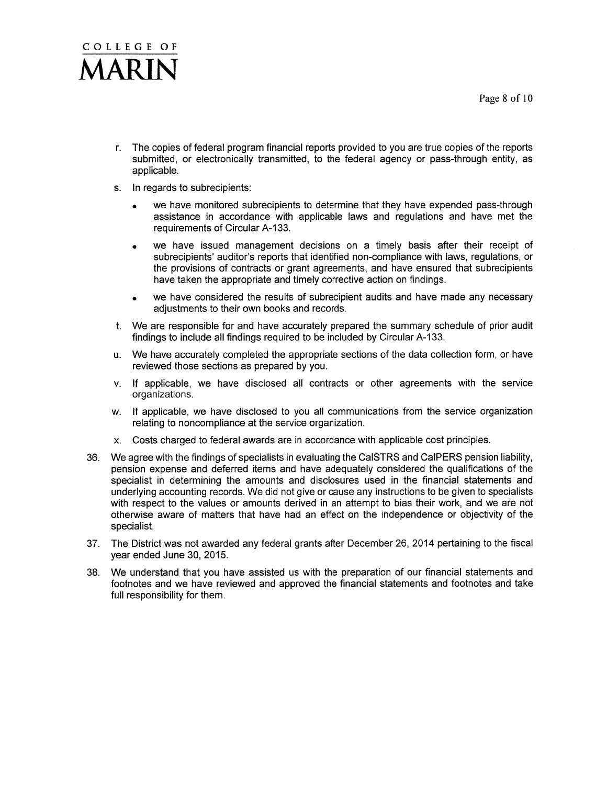## COLLEGE OF **ADIN**

- r. The copies of federal program financial reports provided to you are true copies of the reports submitted, or electronically transmitted, to the federal agency or pass-through entity, as applicable.
- s. In regards to subrecipients:
	- we have monitored subrecipients to determine that they have expended pass-through assistance in accordance with applicable laws and regulations and have met the requirements of Circular A-133.
	- we have issued management decisions on a timely basis after their receipt of  $\bullet$ subrecipients' auditor's reports that identified non-compliance with laws, regulations, or the provisions of contracts or grant agreements, and have ensured that subrecipients have taken the appropriate and timely corrective action on findings.
	- we have considered the results of subrecipient audits and have made any necessary  $\bullet$ adjustments to their own books and records.
- t. We are responsible for and have accurately prepared the summary schedule of prior audit findings to include all findings required to be included by Circular A-133.
- u. We have accurately completed the appropriate sections of the data collection form, or have reviewed those sections as prepared by you.
- v. If applicable, we have disclosed all contracts or other agreements with the service organizations.
- w. If applicable, we have disclosed to you all communications from the service organization relating to noncompliance at the service organization.
- x. Costs charged to federal awards are in accordance with applicable cost principles.
- We agree with the findings of specialists in evaluating the CalSTRS and CalPERS pension liability,  $36.$ pension expense and deferred items and have adequately considered the qualifications of the specialist in determining the amounts and disclosures used in the financial statements and underlying accounting records. We did not give or cause any instructions to be given to specialists with respect to the values or amounts derived in an attempt to bias their work, and we are not otherwise aware of matters that have had an effect on the independence or objectivity of the specialist.
- 37. The District was not awarded any federal grants after December 26, 2014 pertaining to the fiscal vear ended June 30, 2015.
- We understand that you have assisted us with the preparation of our financial statements and 38. footnotes and we have reviewed and approved the financial statements and footnotes and take full responsibility for them.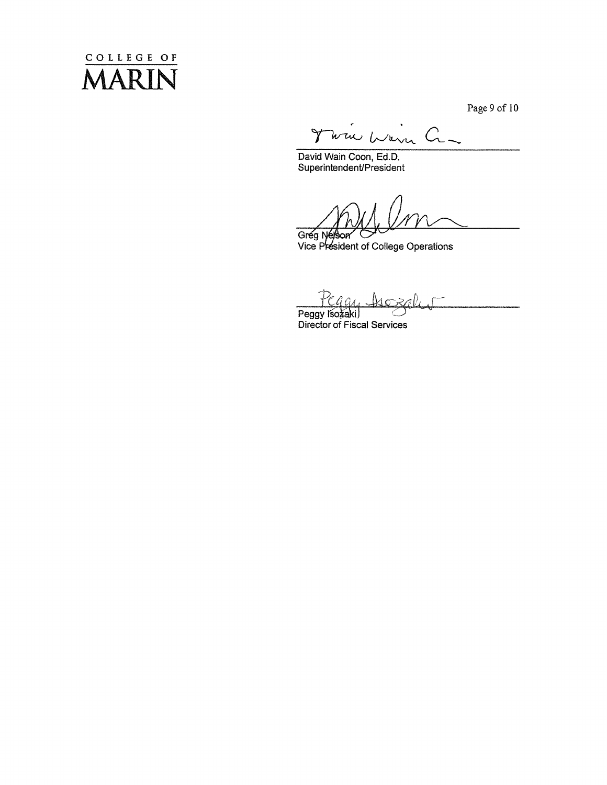## COLLEGE OF  $\bigwedge$ *AARIN*

Page 9 of 10

Wie Warn Cr- $\gamma$ 

David Wain Coon, Ed.D.<br>Superintendent/President

Grég Nejson<br>Vice President of College Operations

li G4.

Peggy Isozaki<br>Director of Fiscal Services